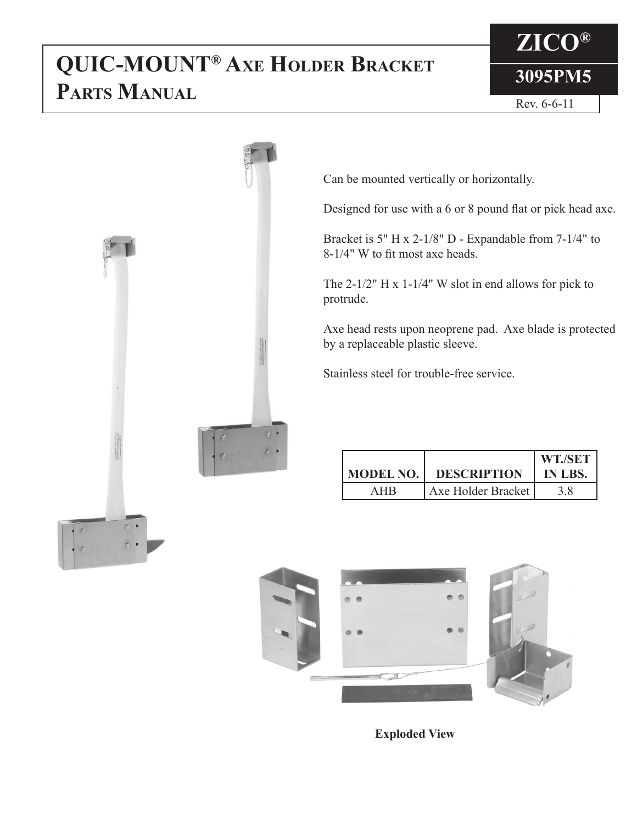## **3095PM5 QUIC-MOUNT® Axe Holder Bracket Parts Manual**

## **ZICO®**



Can be mounted vertically or horizontally.

Designed for use with a 6 or 8 pound flat or pick head axe.

Bracket is 5" H x 2-1/8" D - Expandable from 7-1/4" to 8-1/4" W to fit most axe heads.

The 2-1/2" H x 1-1/4" W slot in end allows for pick to protrude.

Axe head rests upon neoprene pad. Axe blade is protected by a replaceable plastic sleeve.

Stainless steel for trouble-free service.

|                  |                    | WT./SET |
|------------------|--------------------|---------|
| <b>MODEL NO.</b> | <b>DESCRIPTION</b> | IN LBS. |
| AHR              | Axe Holder Bracket |         |



**Exploded View**